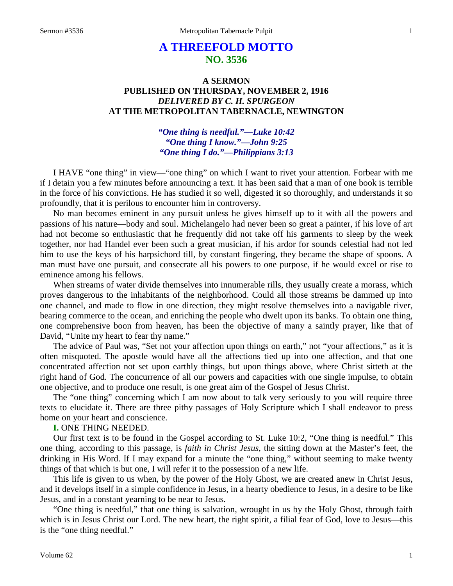# **A THREEFOLD MOTTO NO. 3536**

# **A SERMON PUBLISHED ON THURSDAY, NOVEMBER 2, 1916** *DELIVERED BY C. H. SPURGEON* **AT THE METROPOLITAN TABERNACLE, NEWINGTON**

## *"One thing is needful."—Luke 10:42 "One thing I know."—John 9:25 "One thing I do."—Philippians 3:13*

I HAVE "one thing" in view—"one thing" on which I want to rivet your attention. Forbear with me if I detain you a few minutes before announcing a text. It has been said that a man of one book is terrible in the force of his convictions. He has studied it so well, digested it so thoroughly, and understands it so profoundly, that it is perilous to encounter him in controversy.

No man becomes eminent in any pursuit unless he gives himself up to it with all the powers and passions of his nature—body and soul. Michelangelo had never been so great a painter, if his love of art had not become so enthusiastic that he frequently did not take off his garments to sleep by the week together, nor had Handel ever been such a great musician, if his ardor for sounds celestial had not led him to use the keys of his harpsichord till, by constant fingering, they became the shape of spoons. A man must have one pursuit, and consecrate all his powers to one purpose, if he would excel or rise to eminence among his fellows.

When streams of water divide themselves into innumerable rills, they usually create a morass, which proves dangerous to the inhabitants of the neighborhood. Could all those streams be dammed up into one channel, and made to flow in one direction, they might resolve themselves into a navigable river, bearing commerce to the ocean, and enriching the people who dwelt upon its banks. To obtain one thing, one comprehensive boon from heaven, has been the objective of many a saintly prayer, like that of David, "Unite my heart to fear thy name."

The advice of Paul was, "Set not your affection upon things on earth," not "your affections," as it is often misquoted. The apostle would have all the affections tied up into one affection, and that one concentrated affection not set upon earthly things, but upon things above, where Christ sitteth at the right hand of God. The concurrence of all our powers and capacities with one single impulse, to obtain one objective, and to produce one result, is one great aim of the Gospel of Jesus Christ.

The "one thing" concerning which I am now about to talk very seriously to you will require three texts to elucidate it. There are three pithy passages of Holy Scripture which I shall endeavor to press home on your heart and conscience.

**I.** ONE THING NEEDED.

Our first text is to be found in the Gospel according to St. Luke 10:2, "One thing is needful." This one thing, according to this passage, is *faith in Christ Jesus,* the sitting down at the Master's feet, the drinking in His Word. If I may expand for a minute the "one thing," without seeming to make twenty things of that which is but one, I will refer it to the possession of a new life.

This life is given to us when, by the power of the Holy Ghost, we are created anew in Christ Jesus, and it develops itself in a simple confidence in Jesus, in a hearty obedience to Jesus, in a desire to be like Jesus, and in a constant yearning to be near to Jesus.

"One thing is needful," that one thing is salvation, wrought in us by the Holy Ghost, through faith which is in Jesus Christ our Lord. The new heart, the right spirit, a filial fear of God, love to Jesus—this is the "one thing needful."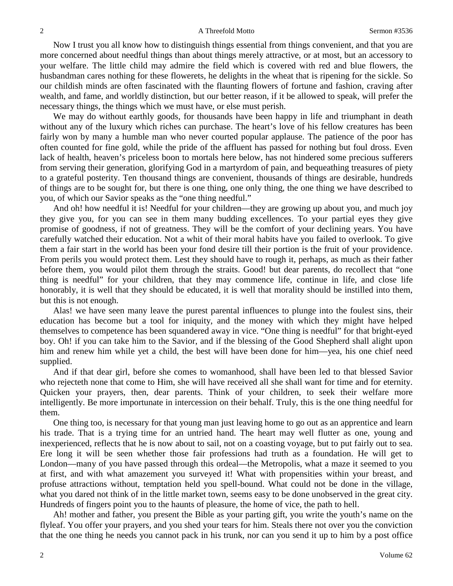#### 2 **A Threefold Motto** Sermon #3536

Now I trust you all know how to distinguish things essential from things convenient, and that you are more concerned about needful things than about things merely attractive, or at most, but an accessory to your welfare. The little child may admire the field which is covered with red and blue flowers, the husbandman cares nothing for these flowerets, he delights in the wheat that is ripening for the sickle. So our childish minds are often fascinated with the flaunting flowers of fortune and fashion, craving after wealth, and fame, and worldly distinction, but our better reason, if it be allowed to speak, will prefer the necessary things, the things which we must have, or else must perish.

We may do without earthly goods, for thousands have been happy in life and triumphant in death without any of the luxury which riches can purchase. The heart's love of his fellow creatures has been fairly won by many a humble man who never courted popular applause. The patience of the poor has often counted for fine gold, while the pride of the affluent has passed for nothing but foul dross. Even lack of health, heaven's priceless boon to mortals here below, has not hindered some precious sufferers from serving their generation, glorifying God in a martyrdom of pain, and bequeathing treasures of piety to a grateful posterity. Ten thousand things are convenient, thousands of things are desirable, hundreds of things are to be sought for, but there is one thing, one only thing, the one thing we have described to you, of which our Savior speaks as the "one thing needful."

And oh! how needful it is! Needful for your children—they are growing up about you, and much joy they give you, for you can see in them many budding excellences. To your partial eyes they give promise of goodness, if not of greatness. They will be the comfort of your declining years. You have carefully watched their education. Not a whit of their moral habits have you failed to overlook. To give them a fair start in the world has been your fond desire till their portion is the fruit of your providence. From perils you would protect them. Lest they should have to rough it, perhaps, as much as their father before them, you would pilot them through the straits. Good! but dear parents, do recollect that "one thing is needful" for your children, that they may commence life, continue in life, and close life honorably, it is well that they should be educated, it is well that morality should be instilled into them, but this is not enough.

Alas! we have seen many leave the purest parental influences to plunge into the foulest sins, their education has become but a tool for iniquity, and the money with which they might have helped themselves to competence has been squandered away in vice. "One thing is needful" for that bright-eyed boy. Oh! if you can take him to the Savior, and if the blessing of the Good Shepherd shall alight upon him and renew him while yet a child, the best will have been done for him—yea, his one chief need supplied.

And if that dear girl, before she comes to womanhood, shall have been led to that blessed Savior who rejecteth none that come to Him, she will have received all she shall want for time and for eternity. Quicken your prayers, then, dear parents. Think of your children, to seek their welfare more intelligently. Be more importunate in intercession on their behalf. Truly, this is the one thing needful for them.

One thing too, is necessary for that young man just leaving home to go out as an apprentice and learn his trade. That is a trying time for an untried hand. The heart may well flutter as one, young and inexperienced, reflects that he is now about to sail, not on a coasting voyage, but to put fairly out to sea. Ere long it will be seen whether those fair professions had truth as a foundation. He will get to London—many of you have passed through this ordeal—the Metropolis, what a maze it seemed to you at first, and with what amazement you surveyed it! What with propensities within your breast, and profuse attractions without, temptation held you spell-bound. What could not be done in the village, what you dared not think of in the little market town, seems easy to be done unobserved in the great city. Hundreds of fingers point you to the haunts of pleasure, the home of vice, the path to hell.

Ah! mother and father, you present the Bible as your parting gift, you write the youth's name on the flyleaf. You offer your prayers, and you shed your tears for him. Steals there not over you the conviction that the one thing he needs you cannot pack in his trunk, nor can you send it up to him by a post office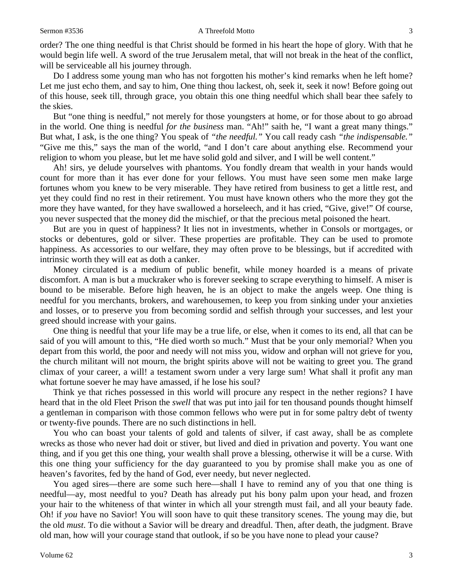order? The one thing needful is that Christ should be formed in his heart the hope of glory. With that he would begin life well. A sword of the true Jerusalem metal, that will not break in the heat of the conflict, will be serviceable all his journey through.

Do I address some young man who has not forgotten his mother's kind remarks when he left home? Let me just echo them, and say to him, One thing thou lackest, oh, seek it, seek it now! Before going out of this house, seek till, through grace, you obtain this one thing needful which shall bear thee safely to the skies.

But "one thing is needful," not merely for those youngsters at home, or for those about to go abroad in the world. One thing is needful *for the business* man. "Ah!" saith he, "I want a great many things." But what, I ask, is the one thing? You speak of *"the needful."* You call ready cash *"the indispensable."* "Give me this," says the man of the world, "and I don't care about anything else. Recommend your religion to whom you please, but let me have solid gold and silver, and I will be well content."

Ah! sirs, ye delude yourselves with phantoms. You fondly dream that wealth in your hands would count for more than it has ever done for your fellows. You must have seen some men make large fortunes whom you knew to be very miserable. They have retired from business to get a little rest, and yet they could find no rest in their retirement. You must have known others who the more they got the more they have wanted, for they have swallowed a horseleech, and it has cried, "Give, give!" Of course, you never suspected that the money did the mischief, or that the precious metal poisoned the heart.

But are you in quest of happiness? It lies not in investments, whether in Consols or mortgages, or stocks or debentures, gold or silver. These properties are profitable. They can be used to promote happiness. As accessories to our welfare, they may often prove to be blessings, but if accredited with intrinsic worth they will eat as doth a canker.

Money circulated is a medium of public benefit, while money hoarded is a means of private discomfort. A man is but a muckraker who is forever seeking to scrape everything to himself. A miser is bound to be miserable. Before high heaven, he is an object to make the angels weep. One thing is needful for you merchants, brokers, and warehousemen, to keep you from sinking under your anxieties and losses, or to preserve you from becoming sordid and selfish through your successes, and lest your greed should increase with your gains.

One thing is needful that your life may be a true life, or else, when it comes to its end, all that can be said of you will amount to this, "He died worth so much." Must that be your only memorial? When you depart from this world, the poor and needy will not miss you, widow and orphan will not grieve for you, the church militant will not mourn, the bright spirits above will not be waiting to greet you. The grand climax of your career, a will! a testament sworn under a very large sum! What shall it profit any man what fortune soever he may have amassed, if he lose his soul?

Think ye that riches possessed in this world will procure any respect in the nether regions? I have heard that in the old Fleet Prison the *swell* that was put into jail for ten thousand pounds thought himself a gentleman in comparison with those common fellows who were put in for some paltry debt of twenty or twenty-five pounds. There are no such distinctions in hell.

You who can boast your talents of gold and talents of silver, if cast away, shall be as complete wrecks as those who never had doit or stiver, but lived and died in privation and poverty. You want one thing, and if you get this one thing, your wealth shall prove a blessing, otherwise it will be a curse. With this one thing your sufficiency for the day guaranteed to you by promise shall make you as one of heaven's favorites, fed by the hand of God, ever needy, but never neglected.

You aged sires—there are some such here—shall I have to remind any of you that one thing is needful—ay, most needful to you? Death has already put his bony palm upon your head, and frozen your hair to the whiteness of that winter in which all your strength must fail, and all your beauty fade. Oh! if *you* have no Savior! You will soon have to quit these transitory scenes. The young may die, but the old *must*. To die without a Savior will be dreary and dreadful. Then, after death, the judgment. Brave old man, how will your courage stand that outlook, if so be you have none to plead your cause?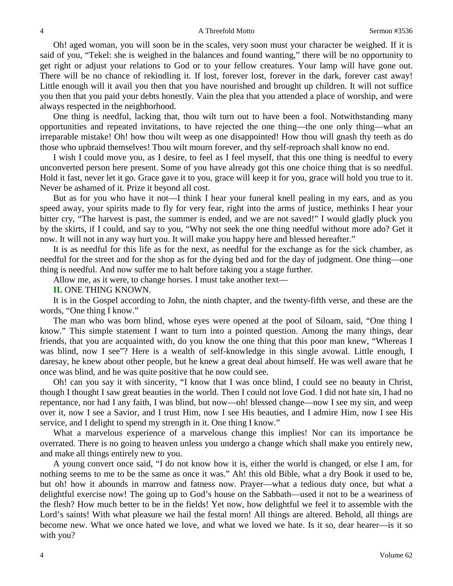Oh! aged woman, you will soon be in the scales, very soon must your character be weighed. If it is said of you, "Tekel: she is weighed in the balances and found wanting," there will be no opportunity to get right or adjust your relations to God or to your fellow creatures. Your lamp will have gone out. There will be no chance of rekindling it. If lost, forever lost, forever in the dark, forever cast away! Little enough will it avail you then that you have nourished and brought up children. It will not suffice you then that you paid your debts honestly. Vain the plea that you attended a place of worship, and were always respected in the neighborhood.

One thing is needful, lacking that, thou wilt turn out to have been a fool. Notwithstanding many opportunities and repeated invitations, to have rejected the one thing—the one only thing—what an irreparable mistake! Oh! how thou wilt weep as one disappointed! How thou will gnash thy teeth as do those who upbraid themselves! Thou wilt mourn forever, and thy self-reproach shall know no end.

I wish I could move you, as I desire, to feel as I feel myself, that this one thing is needful to every unconverted person here present. Some of you have already got this one choice thing that is so needful. Hold it fast, never let it go. Grace gave it to you, grace will keep it for you, grace will hold you true to it. Never be ashamed of it. Prize it beyond all cost.

But as for you who have it not—I think I hear your funeral knell pealing in my ears, and as you speed away, your spirits made to fly for very fear, right into the arms of justice, methinks I hear your bitter cry, "The harvest is past, the summer is ended, and we are not saved!" I would gladly pluck you by the skirts, if I could, and say to you, "Why not seek the one thing needful without more ado? Get it now. It will not in any way hurt you. It will make you happy here and blessed hereafter."

It is as needful for this life as for the next, as needful for the exchange as for the sick chamber, as needful for the street and for the shop as for the dying bed and for the day of judgment. One thing—one thing is needful. And now suffer me to halt before taking you a stage further.

Allow me, as it were, to change horses. I must take another text—

**II.** ONE THING KNOWN.

It is in the Gospel according to John, the ninth chapter, and the twenty-fifth verse, and these are the words, "One thing I know."

The man who was born blind, whose eyes were opened at the pool of Siloam, said, "One thing I know." This simple statement I want to turn into a pointed question. Among the many things, dear friends, that you are acquainted with, do you know the one thing that this poor man knew, "Whereas I was blind, now I see"? Here is a wealth of self-knowledge in this single avowal. Little enough, I daresay, he knew about other people, but he knew a great deal about himself. He was well aware that he once was blind, and he was quite positive that he now could see.

Oh! can you say it with sincerity, "I know that I was once blind, I could see no beauty in Christ, though I thought I saw great beauties in the world. Then I could not love God. I did not hate sin, I had no repentance, nor had I any faith, I was blind, but now—oh! blessed change—now I see my sin, and weep over it, now I see a Savior, and I trust Him, now I see His beauties, and I admire Him, now I see His service, and I delight to spend my strength in it. One thing I know."

What a marvelous experience of a marvelous change this implies! Nor can its importance be overrated. There is no going to heaven unless you undergo a change which shall make you entirely new, and make all things entirely new to you.

A young convert once said, "I do not know how it is, either the world is changed, or else I am, for nothing seems to me to be the same as once it was." Ah! this old Bible, what a dry Book it used to be, but oh! how it abounds in marrow and fatness now. Prayer—what a tedious duty once, but what a delightful exercise now! The going up to God's house on the Sabbath—used it not to be a weariness of the flesh? How much better to be in the fields! Yet now, how delightful we feel it to assemble with the Lord's saints! With what pleasure we hail the festal morn! All things are altered. Behold, all things are become new. What we once hated we love, and what we loved we hate. Is it so, dear hearer—is it so with you?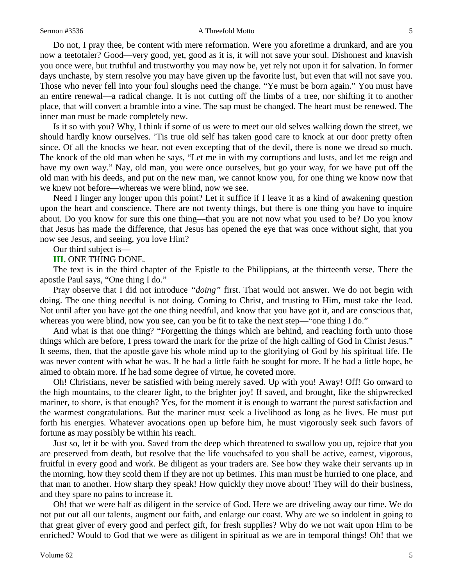#### Sermon #3536 **A** Threefold Motto 5

Do not, I pray thee, be content with mere reformation. Were you aforetime a drunkard, and are you now a teetotaler? Good—very good, yet, good as it is, it will not save your soul. Dishonest and knavish you once were, but truthful and trustworthy you may now be, yet rely not upon it for salvation. In former days unchaste, by stern resolve you may have given up the favorite lust, but even that will not save you. Those who never fell into your foul sloughs need the change. "Ye must be born again." You must have an entire renewal—a radical change. It is not cutting off the limbs of a tree, nor shifting it to another place, that will convert a bramble into a vine. The sap must be changed. The heart must be renewed. The inner man must be made completely new.

Is it so with you? Why, I think if some of us were to meet our old selves walking down the street, we should hardly know ourselves. 'Tis true old self has taken good care to knock at our door pretty often since. Of all the knocks we hear, not even excepting that of the devil, there is none we dread so much. The knock of the old man when he says, "Let me in with my corruptions and lusts, and let me reign and have my own way." Nay, old man, you were once ourselves, but go your way, for we have put off the old man with his deeds, and put on the new man, we cannot know you, for one thing we know now that we knew not before—whereas we were blind, now we see.

Need I linger any longer upon this point? Let it suffice if I leave it as a kind of awakening question upon the heart and conscience. There are not twenty things, but there is one thing you have to inquire about. Do you know for sure this one thing—that you are not now what you used to be? Do you know that Jesus has made the difference, that Jesus has opened the eye that was once without sight, that you now see Jesus, and seeing, you love Him?

Our third subject is—

**III.** ONE THING DONE.

The text is in the third chapter of the Epistle to the Philippians, at the thirteenth verse. There the apostle Paul says, "One thing I do."

Pray observe that I did not introduce *"doing"* first. That would not answer. We do not begin with doing. The one thing needful is not doing. Coming to Christ, and trusting to Him, must take the lead. Not until after you have got the one thing needful, and know that you have got it, and are conscious that, whereas you were blind, now you see, can you be fit to take the next step—"one thing I do."

And what is that one thing? "Forgetting the things which are behind, and reaching forth unto those things which are before, I press toward the mark for the prize of the high calling of God in Christ Jesus." It seems, then, that the apostle gave his whole mind up to the glorifying of God by his spiritual life. He was never content with what he was. If he had a little faith he sought for more. If he had a little hope, he aimed to obtain more. If he had some degree of virtue, he coveted more.

Oh! Christians, never be satisfied with being merely saved. Up with you! Away! Off! Go onward to the high mountains, to the clearer light, to the brighter joy! If saved, and brought, like the shipwrecked mariner, to shore, is that enough? Yes, for the moment it is enough to warrant the purest satisfaction and the warmest congratulations. But the mariner must seek a livelihood as long as he lives. He must put forth his energies. Whatever avocations open up before him, he must vigorously seek such favors of fortune as may possibly be within his reach.

Just so, let it be with you. Saved from the deep which threatened to swallow you up, rejoice that you are preserved from death, but resolve that the life vouchsafed to you shall be active, earnest, vigorous, fruitful in every good and work. Be diligent as your traders are. See how they wake their servants up in the morning, how they scold them if they are not up betimes. This man must be hurried to one place, and that man to another. How sharp they speak! How quickly they move about! They will do their business, and they spare no pains to increase it.

Oh! that we were half as diligent in the service of God. Here we are driveling away our time. We do not put out all our talents, augment our faith, and enlarge our coast. Why are we so indolent in going to that great giver of every good and perfect gift, for fresh supplies? Why do we not wait upon Him to be enriched? Would to God that we were as diligent in spiritual as we are in temporal things! Oh! that we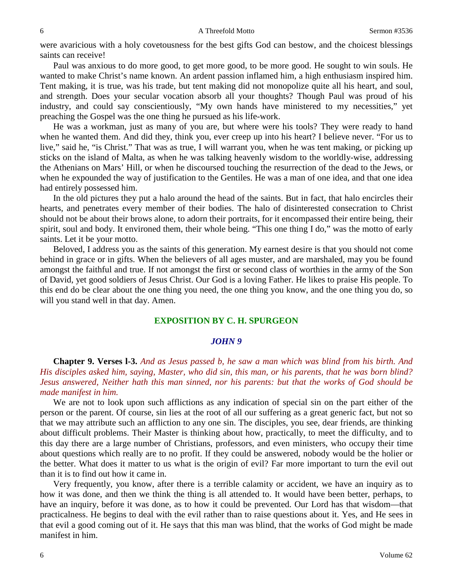were avaricious with a holy covetousness for the best gifts God can bestow, and the choicest blessings saints can receive!

Paul was anxious to do more good, to get more good, to be more good. He sought to win souls. He wanted to make Christ's name known. An ardent passion inflamed him, a high enthusiasm inspired him. Tent making, it is true, was his trade, but tent making did not monopolize quite all his heart, and soul, and strength. Does your secular vocation absorb all your thoughts? Though Paul was proud of his industry, and could say conscientiously, "My own hands have ministered to my necessities," yet preaching the Gospel was the one thing he pursued as his life-work.

He was a workman, just as many of you are, but where were his tools? They were ready to hand when he wanted them. And did they, think you, ever creep up into his heart? I believe never. "For us to live," said he, "is Christ." That was as true, I will warrant you, when he was tent making, or picking up sticks on the island of Malta, as when he was talking heavenly wisdom to the worldly-wise, addressing the Athenians on Mars' Hill, or when he discoursed touching the resurrection of the dead to the Jews, or when he expounded the way of justification to the Gentiles. He was a man of one idea, and that one idea had entirely possessed him.

In the old pictures they put a halo around the head of the saints. But in fact, that halo encircles their hearts, and penetrates every member of their bodies. The halo of disinterested consecration to Christ should not be about their brows alone, to adorn their portraits, for it encompassed their entire being, their spirit, soul and body. It environed them, their whole being. "This one thing I do," was the motto of early saints. Let it be your motto.

Beloved, I address you as the saints of this generation. My earnest desire is that you should not come behind in grace or in gifts. When the believers of all ages muster, and are marshaled, may you be found amongst the faithful and true. If not amongst the first or second class of worthies in the army of the Son of David, yet good soldiers of Jesus Christ. Our God is a loving Father. He likes to praise His people. To this end do be clear about the one thing you need, the one thing you know, and the one thing you do, so will you stand well in that day. Amen.

#### **EXPOSITION BY C. H. SPURGEON**

#### *JOHN 9*

**Chapter 9. Verses l-3.** *And as Jesus passed b, he saw a man which was blind from his birth. And His disciples asked him, saying, Master, who did sin, this man, or his parents, that he was born blind? Jesus answered, Neither hath this man sinned, nor his parents: but that the works of God should be made manifest in him.* 

We are not to look upon such afflictions as any indication of special sin on the part either of the person or the parent. Of course, sin lies at the root of all our suffering as a great generic fact, but not so that we may attribute such an affliction to any one sin. The disciples, you see, dear friends, are thinking about difficult problems. Their Master is thinking about how, practically, to meet the difficulty, and to this day there are a large number of Christians, professors, and even ministers, who occupy their time about questions which really are to no profit. If they could be answered, nobody would be the holier or the better. What does it matter to us what is the origin of evil? Far more important to turn the evil out than it is to find out how it came in.

Very frequently, you know, after there is a terrible calamity or accident, we have an inquiry as to how it was done, and then we think the thing is all attended to. It would have been better, perhaps, to have an inquiry, before it was done, as to how it could be prevented. Our Lord has that wisdom—that practicalness. He begins to deal with the evil rather than to raise questions about it. Yes, and He sees in that evil a good coming out of it. He says that this man was blind, that the works of God might be made manifest in him.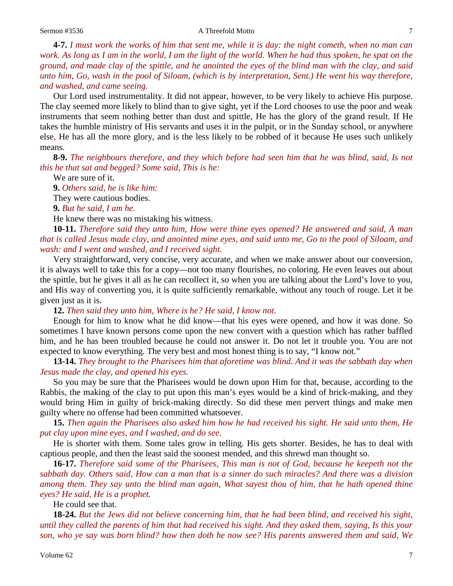#### Sermon #3536 **A** Threefold Motto 7

**4-7.** *I must work the works of him that sent me, while it is day: the night cometh, when no man can work. As long as I am in the world, I am the light of the world. When he had thus spoken, he spat on the ground, and made clay of the spittle, and he anointed the eyes of the blind man with the clay, and said unto him, Go, wash in the pool of Siloam, (which is by interpretation, Sent.) He went his way therefore, and washed, and came seeing.* 

Our Lord used instrumentality. It did not appear, however, to be very likely to achieve His purpose. The clay seemed more likely to blind than to give sight, yet if the Lord chooses to use the poor and weak instruments that seem nothing better than dust and spittle, He has the glory of the grand result. If He takes the humble ministry of His servants and uses it in the pulpit, or in the Sunday school, or anywhere else*,* He has all the more glory, and is the less likely to be robbed of it because He uses such unlikely means.

**8-9.** *The neighbours therefore, and they which before had seen him that he was blind, said, Is not this he that sat and begged? Some said, This is he:*

We are sure of it.

**9.** *Others said, he is like him:*

They were cautious bodies.

**9.** *But he said, I am he.* 

He knew there was no mistaking his witness.

**10-11.** *Therefore said they unto him, How were thine eyes opened? He answered and said, A man that is called Jesus made clay, and anointed mine eyes, and said unto me, Go to the pool of Siloam, and wash: and I went and washed, and I received sight.* 

Very straightforward, very concise, very accurate, and when we make answer about our conversion, it is always well to take this for a copy—not too many flourishes, no coloring. He even leaves out about the spittle, but he gives it all as he can recollect it, so when you are talking about the Lord's love to you, and His way of converting you, it is quite sufficiently remarkable, without any touch of rouge. Let it be given just as it is.

**12.** *Then said they unto him, Where is he? He said, I know not.* 

Enough for him to know what he did know—that his eyes were opened, and how it was done. So sometimes I have known persons come upon the new convert with a question which has rather baffled him, and he has been troubled because he could not answer it. Do not let it trouble you. You are not expected to know everything. The very best and most honest thing is to say, "I know not."

**13-14.** *They brought to the Pharisees him that aforetime was blind. And it was the sabbath day when Jesus made the clay, and opened his eyes.* 

So you may be sure that the Pharisees would be down upon Him for that, because, according to the Rabbis, the making of the clay to put upon this man's eyes would be a kind of brick-making, and they would bring Him in guilty of brick-making directly. So did these men pervert things and make men guilty where no offense had been committed whatsoever.

**15.** *Then again the Pharisees also asked him how he had received his sight. He said unto them, He put clay upon mine eyes, and I washed, and do see.* 

He is shorter with them. Some tales grow in telling. His gets shorter. Besides, he has to deal with captious people, and then the least said the soonest mended, and this shrewd man thought so.

**16-17.** *Therefore said some of the Pharisees, This man is not of God, because he keepeth not the sabbath day. Others said, How can a man that is a sinner do such miracles? And there was a division among them. They say unto the blind man again, What sayest thou of him, that he hath opened thine eyes? He said, He is a prophet.* 

He could see that.

**18-24.** *But the Jews did not believe concerning him, that he had been blind, and received his sight, until they called the parents of him that had received his sight. And they asked them, saying, Is this your son, who ye say was born blind? how then doth he now see? His parents answered them and said, We*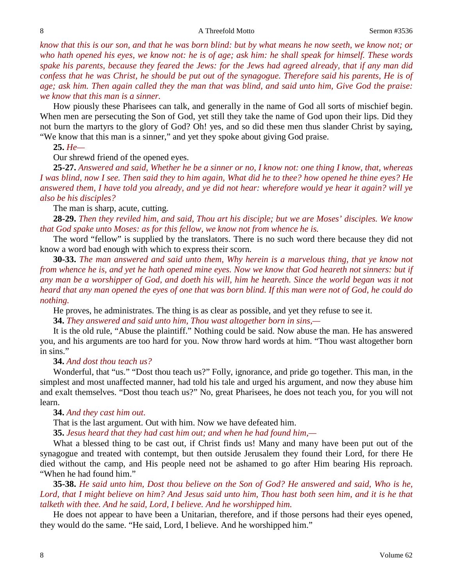*know that this is our son, and that he was born blind: but by what means he now seeth, we know not; or who hath opened his eyes, we know not: he is of age; ask him: he shall speak for himself. These words spake his parents, because they feared the Jews: for the Jews had agreed already, that if any man did confess that he was Christ, he should be put out of the synagogue. Therefore said his parents, He is of age; ask him. Then again called they the man that was blind, and said unto him, Give God the praise: we know that this man is a sinner.* 

How piously these Pharisees can talk, and generally in the name of God all sorts of mischief begin. When men are persecuting the Son of God, yet still they take the name of God upon their lips. Did they not burn the martyrs to the glory of God? Oh! yes, and so did these men thus slander Christ by saying, "We know that this man is a sinner," and yet they spoke about giving God praise.

### **25.** *He—*

### Our shrewd friend of the opened eyes.

**25-27.** *Answered and said, Whether he be a sinner or no, I know not: one thing I know, that, whereas I was blind, now I see. Then said they to him again, What did he to thee? how opened he thine eyes? He answered them, I have told you already, and ye did not hear: wherefore would ye hear it again? will ye also be his disciples?* 

The man is sharp, acute, cutting.

**28-29.** *Then they reviled him, and said, Thou art his disciple; but we are Moses' disciples. We know that God spake unto Moses: as for this fellow, we know not from whence he is.* 

The word "fellow" is supplied by the translators. There is no such word there because they did not know a word bad enough with which to express their scorn.

**30-33.** *The man answered and said unto them, Why herein is a marvelous thing, that ye know not from whence he is, and yet he hath opened mine eyes. Now we know that God heareth not sinners: but if*  any man be a worshipper of God, and doeth his will, him he heareth. Since the world began was it not *heard that any man opened the eyes of one that was born blind. If this man were not of God, he could do nothing.* 

He proves, he administrates. The thing is as clear as possible, and yet they refuse to see it.

**34.** *They answered and said unto him, Thou wast altogether born in sins,—*

It is the old rule, "Abuse the plaintiff." Nothing could be said. Now abuse the man. He has answered you, and his arguments are too hard for you. Now throw hard words at him. "Thou wast altogether born in sins."

### **34.** *And dost thou teach us?*

Wonderful, that "us." "Dost thou teach us?" Folly, ignorance, and pride go together. This man, in the simplest and most unaffected manner, had told his tale and urged his argument, and now they abuse him and exalt themselves. "Dost thou teach us?" No, great Pharisees, he does not teach you, for you will not learn.

### **34.** *And they cast him out.*

That is the last argument. Out with him. Now we have defeated him.

**35.** *Jesus heard that they had cast him out; and when he had found him,—*

What a blessed thing to be cast out, if Christ finds us! Many and many have been put out of the synagogue and treated with contempt, but then outside Jerusalem they found their Lord, for there He died without the camp, and His people need not be ashamed to go after Him bearing His reproach. "When he had found him."

**35-38.** *He said unto him, Dost thou believe on the Son of God? He answered and said, Who is he, Lord, that I might believe on him? And Jesus said unto him, Thou hast both seen him, and it is he that talketh with thee. And he said, Lord, I believe. And he worshipped him.* 

He does not appear to have been a Unitarian, therefore, and if those persons had their eyes opened, they would do the same. "He said, Lord, I believe. And he worshipped him."